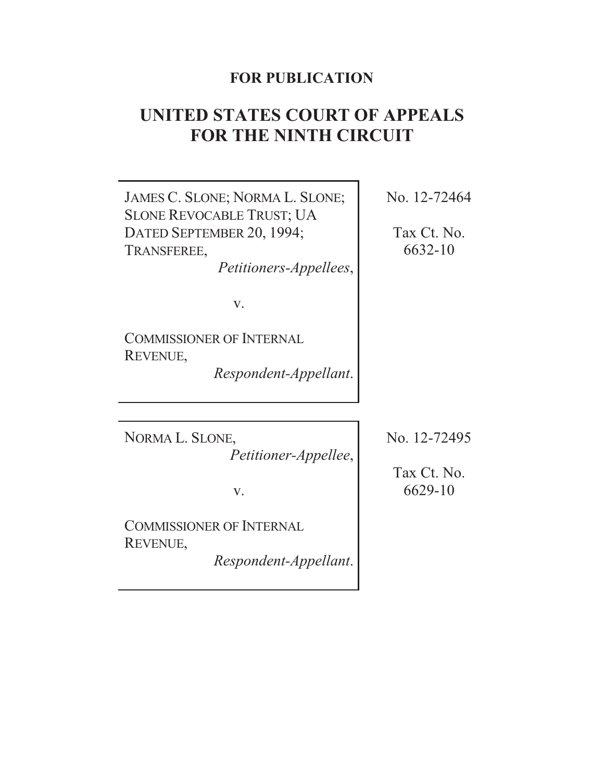# **FOR PUBLICATION**

# **UNITED STATES COURT OF APPEALS FOR THE NINTH CIRCUIT**

JAMES C. SLONE; NORMA L. SLONE; SLONE REVOCABLE TRUST; UA DATED SEPTEMBER 20, 1994; TRANSFEREE, *Petitioners-Appellees*, v. COMMISSIONER OF INTERNAL REVENUE, *Respondent-Appellant*. No. 12-72464 Tax Ct. No. 6632-10 NORMA L. SLONE, *Petitioner-Appellee*, v. COMMISSIONER OF INTERNAL REVENUE, *Respondent-Appellant*. No. 12-72495 Tax Ct. No. 6629-10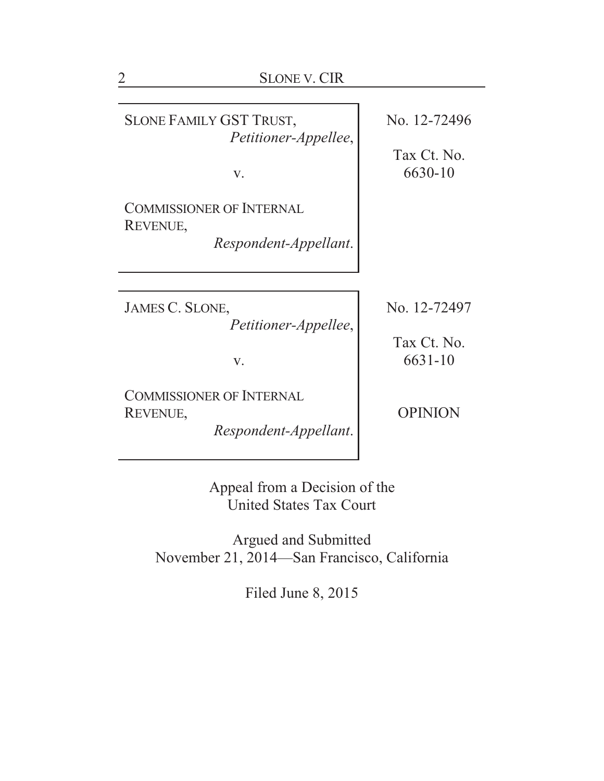| <b>SLONE V. CIR</b>                                                  |                        |
|----------------------------------------------------------------------|------------------------|
|                                                                      |                        |
| SLONE FAMILY GST TRUST,<br>Petitioner-Appellee,                      | No. 12-72496           |
| V.                                                                   | Tax Ct. No.<br>6630-10 |
| <b>COMMISSIONER OF INTERNAL</b><br>REVENUE,                          |                        |
| Respondent-Appellant.                                                |                        |
|                                                                      |                        |
| JAMES C. SLONE,<br><i>Petitioner-Appellee,</i>                       | No. 12-72497           |
| V.                                                                   | Tax Ct. No.<br>6631-10 |
| <b>COMMISSIONER OF INTERNAL</b><br>REVENUE,<br>Respondent-Appellant. | <b>OPINION</b>         |
|                                                                      |                        |

Appeal from a Decision of the United States Tax Court

Argued and Submitted November 21, 2014—San Francisco, California

Filed June 8, 2015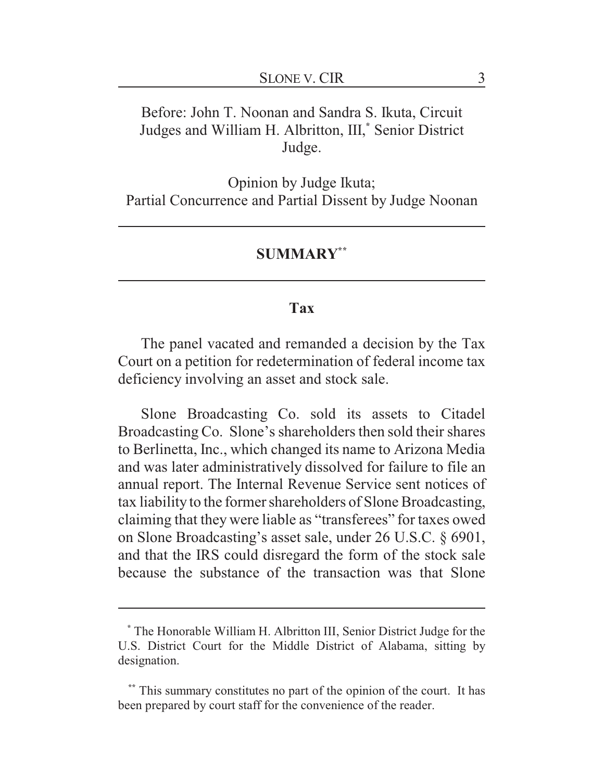# Before: John T. Noonan and Sandra S. Ikuta, Circuit Judges and William H. Albritton, III,**\*** Senior District Judge.

Opinion by Judge Ikuta; Partial Concurrence and Partial Dissent by Judge Noonan

#### **SUMMARY\*\***

#### **Tax**

The panel vacated and remanded a decision by the Tax Court on a petition for redetermination of federal income tax deficiency involving an asset and stock sale.

Slone Broadcasting Co. sold its assets to Citadel Broadcasting Co. Slone's shareholders then sold their shares to Berlinetta, Inc., which changed its name to Arizona Media and was later administratively dissolved for failure to file an annual report. The Internal Revenue Service sent notices of tax liability to the former shareholders of Slone Broadcasting, claiming that they were liable as "transferees" for taxes owed on Slone Broadcasting's asset sale, under 26 U.S.C. § 6901, and that the IRS could disregard the form of the stock sale because the substance of the transaction was that Slone

**<sup>\*</sup>** The Honorable William H. Albritton III, Senior District Judge for the U.S. District Court for the Middle District of Alabama, sitting by designation.

**<sup>\*\*</sup>** This summary constitutes no part of the opinion of the court. It has been prepared by court staff for the convenience of the reader.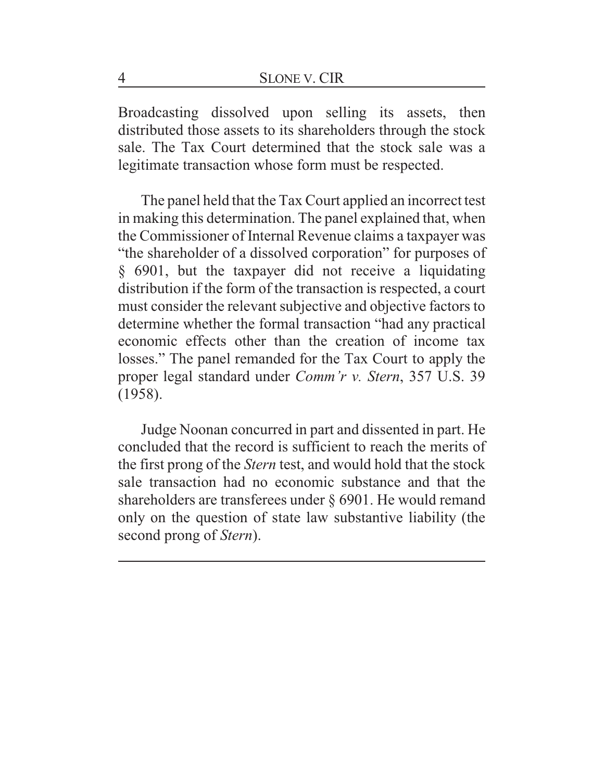Broadcasting dissolved upon selling its assets, then distributed those assets to its shareholders through the stock sale. The Tax Court determined that the stock sale was a legitimate transaction whose form must be respected.

The panel held that the Tax Court applied an incorrect test in making this determination. The panel explained that, when the Commissioner of Internal Revenue claims a taxpayer was "the shareholder of a dissolved corporation" for purposes of § 6901, but the taxpayer did not receive a liquidating distribution if the form of the transaction is respected, a court must consider the relevant subjective and objective factors to determine whether the formal transaction "had any practical economic effects other than the creation of income tax losses." The panel remanded for the Tax Court to apply the proper legal standard under *Comm'r v. Stern*, 357 U.S. 39 (1958).

Judge Noonan concurred in part and dissented in part. He concluded that the record is sufficient to reach the merits of the first prong of the *Stern* test, and would hold that the stock sale transaction had no economic substance and that the shareholders are transferees under § 6901. He would remand only on the question of state law substantive liability (the second prong of *Stern*).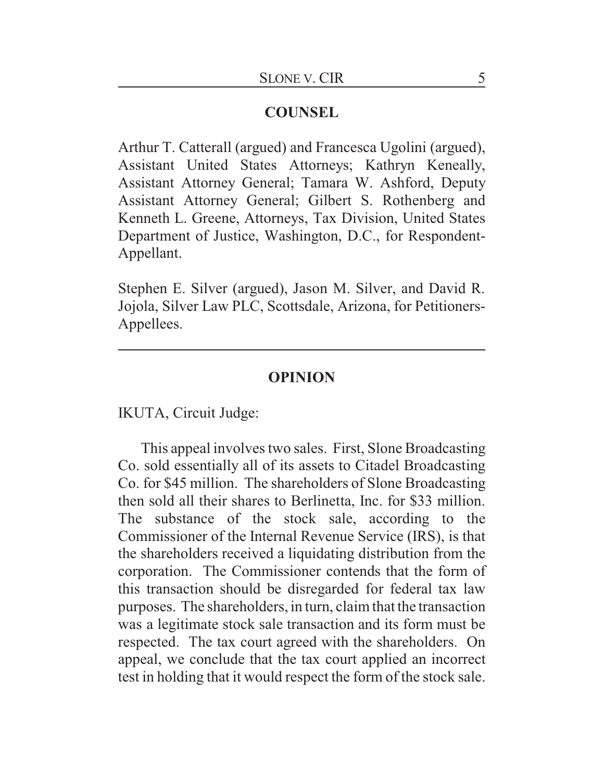## **COUNSEL**

Arthur T. Catterall (argued) and Francesca Ugolini (argued), Assistant United States Attorneys; Kathryn Keneally, Assistant Attorney General; Tamara W. Ashford, Deputy Assistant Attorney General; Gilbert S. Rothenberg and Kenneth L. Greene, Attorneys, Tax Division, United States Department of Justice, Washington, D.C., for Respondent-Appellant.

Stephen E. Silver (argued), Jason M. Silver, and David R. Jojola, Silver Law PLC, Scottsdale, Arizona, for Petitioners-Appellees.

#### **OPINION**

IKUTA, Circuit Judge:

This appeal involves two sales. First, Slone Broadcasting Co. sold essentially all of its assets to Citadel Broadcasting Co. for \$45 million. The shareholders of Slone Broadcasting then sold all their shares to Berlinetta, Inc. for \$33 million. The substance of the stock sale, according to the Commissioner of the Internal Revenue Service (IRS), is that the shareholders received a liquidating distribution from the corporation. The Commissioner contends that the form of this transaction should be disregarded for federal tax law purposes. The shareholders, in turn, claim that the transaction was a legitimate stock sale transaction and its form must be respected. The tax court agreed with the shareholders. On appeal, we conclude that the tax court applied an incorrect test in holding that it would respect the form of the stock sale.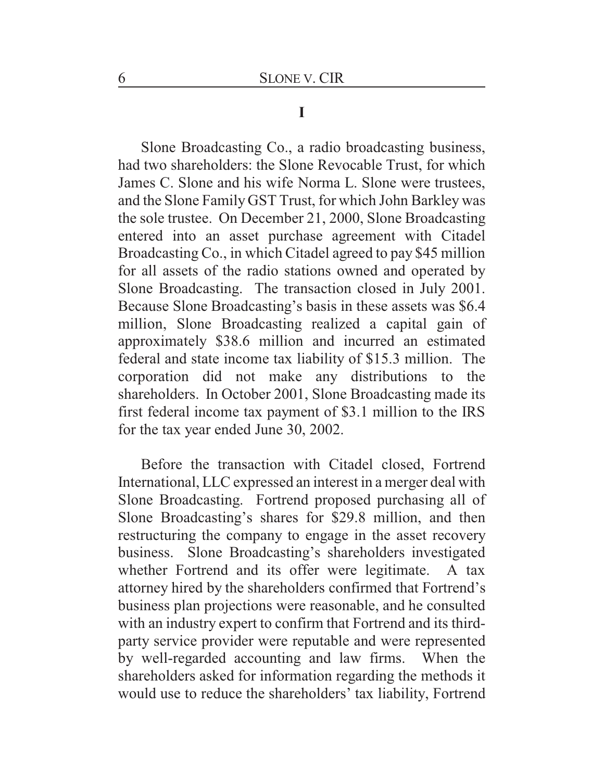#### **I**

Slone Broadcasting Co., a radio broadcasting business, had two shareholders: the Slone Revocable Trust, for which James C. Slone and his wife Norma L. Slone were trustees, and the Slone Family GST Trust, for which John Barkley was the sole trustee. On December 21, 2000, Slone Broadcasting entered into an asset purchase agreement with Citadel Broadcasting Co., in which Citadel agreed to pay \$45 million for all assets of the radio stations owned and operated by Slone Broadcasting. The transaction closed in July 2001. Because Slone Broadcasting's basis in these assets was \$6.4 million, Slone Broadcasting realized a capital gain of approximately \$38.6 million and incurred an estimated federal and state income tax liability of \$15.3 million. The corporation did not make any distributions to the shareholders. In October 2001, Slone Broadcasting made its first federal income tax payment of \$3.1 million to the IRS for the tax year ended June 30, 2002.

Before the transaction with Citadel closed, Fortrend International, LLC expressed an interest in a merger deal with Slone Broadcasting. Fortrend proposed purchasing all of Slone Broadcasting's shares for \$29.8 million, and then restructuring the company to engage in the asset recovery business. Slone Broadcasting's shareholders investigated whether Fortrend and its offer were legitimate. A tax attorney hired by the shareholders confirmed that Fortrend's business plan projections were reasonable, and he consulted with an industry expert to confirm that Fortrend and its thirdparty service provider were reputable and were represented by well-regarded accounting and law firms. When the shareholders asked for information regarding the methods it would use to reduce the shareholders' tax liability, Fortrend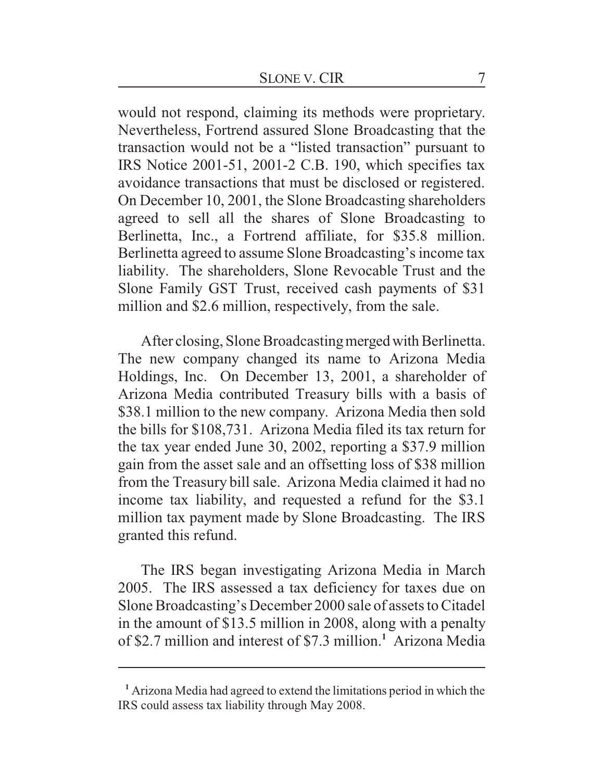would not respond, claiming its methods were proprietary. Nevertheless, Fortrend assured Slone Broadcasting that the transaction would not be a "listed transaction" pursuant to IRS Notice 2001-51, 2001-2 C.B. 190, which specifies tax avoidance transactions that must be disclosed or registered. On December 10, 2001, the Slone Broadcasting shareholders agreed to sell all the shares of Slone Broadcasting to Berlinetta, Inc., a Fortrend affiliate, for \$35.8 million. Berlinetta agreed to assume Slone Broadcasting's income tax liability. The shareholders, Slone Revocable Trust and the Slone Family GST Trust, received cash payments of \$31 million and \$2.6 million, respectively, from the sale.

After closing, Slone Broadcasting merged with Berlinetta. The new company changed its name to Arizona Media Holdings, Inc. On December 13, 2001, a shareholder of Arizona Media contributed Treasury bills with a basis of \$38.1 million to the new company. Arizona Media then sold the bills for \$108,731. Arizona Media filed its tax return for the tax year ended June 30, 2002, reporting a \$37.9 million gain from the asset sale and an offsetting loss of \$38 million from the Treasury bill sale. Arizona Media claimed it had no income tax liability, and requested a refund for the \$3.1 million tax payment made by Slone Broadcasting. The IRS granted this refund.

The IRS began investigating Arizona Media in March 2005. The IRS assessed a tax deficiency for taxes due on Slone Broadcasting's December 2000 sale of assets to Citadel in the amount of \$13.5 million in 2008, along with a penalty of \$2.7 million and interest of \$7.3 million.**<sup>1</sup>** Arizona Media

**<sup>1</sup>** Arizona Media had agreed to extend the limitations period in which the IRS could assess tax liability through May 2008.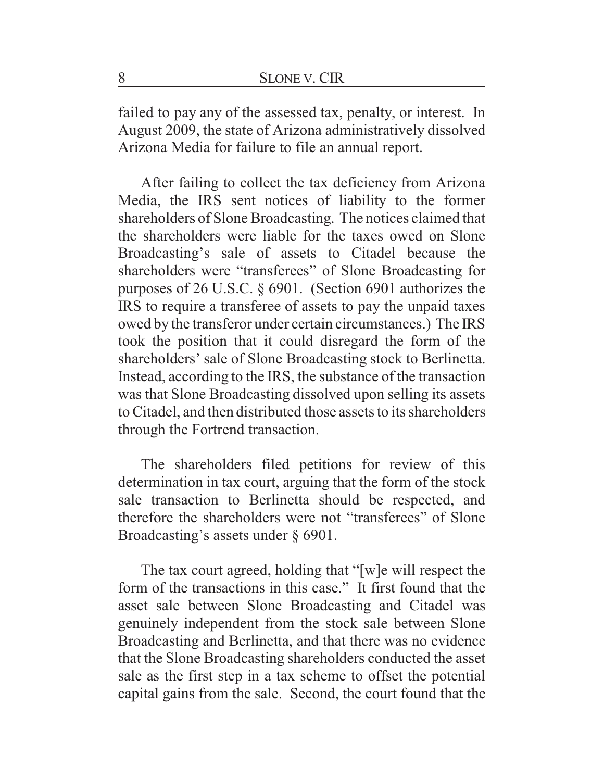failed to pay any of the assessed tax, penalty, or interest. In August 2009, the state of Arizona administratively dissolved Arizona Media for failure to file an annual report.

After failing to collect the tax deficiency from Arizona Media, the IRS sent notices of liability to the former shareholders of Slone Broadcasting. The notices claimed that the shareholders were liable for the taxes owed on Slone Broadcasting's sale of assets to Citadel because the shareholders were "transferees" of Slone Broadcasting for purposes of 26 U.S.C. § 6901. (Section 6901 authorizes the IRS to require a transferee of assets to pay the unpaid taxes owed by the transferor under certain circumstances.) The IRS took the position that it could disregard the form of the shareholders' sale of Slone Broadcasting stock to Berlinetta. Instead, according to the IRS, the substance of the transaction was that Slone Broadcasting dissolved upon selling its assets to Citadel, and then distributed those assets to its shareholders through the Fortrend transaction.

The shareholders filed petitions for review of this determination in tax court, arguing that the form of the stock sale transaction to Berlinetta should be respected, and therefore the shareholders were not "transferees" of Slone Broadcasting's assets under § 6901.

The tax court agreed, holding that "[w]e will respect the form of the transactions in this case." It first found that the asset sale between Slone Broadcasting and Citadel was genuinely independent from the stock sale between Slone Broadcasting and Berlinetta, and that there was no evidence that the Slone Broadcasting shareholders conducted the asset sale as the first step in a tax scheme to offset the potential capital gains from the sale. Second, the court found that the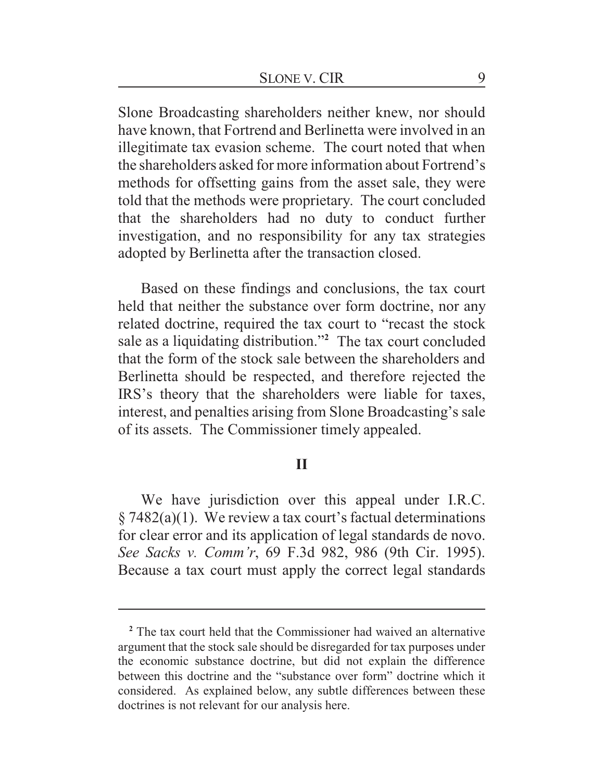Slone Broadcasting shareholders neither knew, nor should have known, that Fortrend and Berlinetta were involved in an illegitimate tax evasion scheme. The court noted that when the shareholders asked for more information about Fortrend's methods for offsetting gains from the asset sale, they were told that the methods were proprietary. The court concluded that the shareholders had no duty to conduct further investigation, and no responsibility for any tax strategies adopted by Berlinetta after the transaction closed.

Based on these findings and conclusions, the tax court held that neither the substance over form doctrine, nor any related doctrine, required the tax court to "recast the stock sale as a liquidating distribution."**<sup>2</sup>** The tax court concluded that the form of the stock sale between the shareholders and Berlinetta should be respected, and therefore rejected the IRS's theory that the shareholders were liable for taxes, interest, and penalties arising from Slone Broadcasting's sale of its assets. The Commissioner timely appealed.

#### **II**

We have jurisdiction over this appeal under I.R.C.  $\S 7482(a)(1)$ . We review a tax court's factual determinations for clear error and its application of legal standards de novo. *See Sacks v. Comm'r*, 69 F.3d 982, 986 (9th Cir. 1995). Because a tax court must apply the correct legal standards

<sup>&</sup>lt;sup>2</sup> The tax court held that the Commissioner had waived an alternative argument that the stock sale should be disregarded for tax purposes under the economic substance doctrine, but did not explain the difference between this doctrine and the "substance over form" doctrine which it considered. As explained below, any subtle differences between these doctrines is not relevant for our analysis here.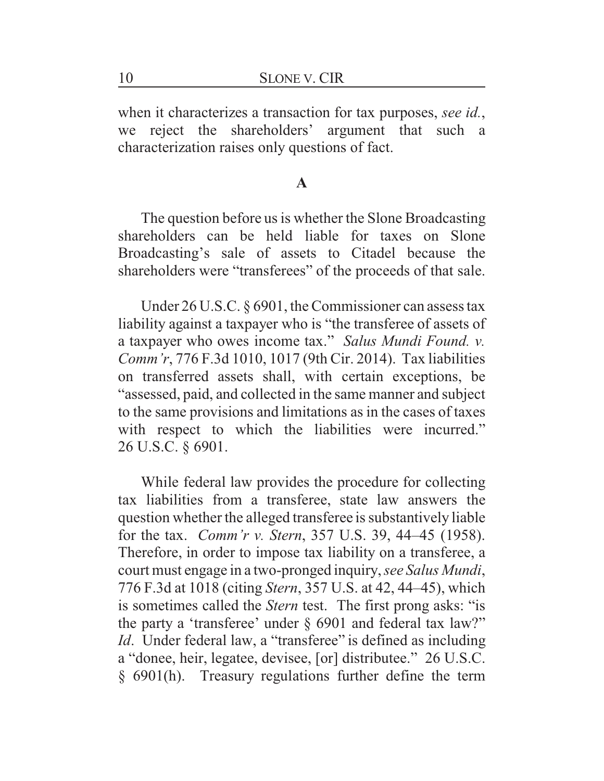when it characterizes a transaction for tax purposes, *see id.*, we reject the shareholders' argument that such a characterization raises only questions of fact.

### **A**

The question before us is whether the Slone Broadcasting shareholders can be held liable for taxes on Slone Broadcasting's sale of assets to Citadel because the shareholders were "transferees" of the proceeds of that sale.

Under 26 U.S.C. § 6901, the Commissioner can assess tax liability against a taxpayer who is "the transferee of assets of a taxpayer who owes income tax." *Salus Mundi Found. v. Comm'r*, 776 F.3d 1010, 1017 (9th Cir. 2014). Tax liabilities on transferred assets shall, with certain exceptions, be "assessed, paid, and collected in the same manner and subject to the same provisions and limitations as in the cases of taxes with respect to which the liabilities were incurred." 26 U.S.C. § 6901.

While federal law provides the procedure for collecting tax liabilities from a transferee, state law answers the question whether the alleged transferee is substantively liable for the tax. *Comm'r v. Stern*, 357 U.S. 39, 44–45 (1958). Therefore, in order to impose tax liability on a transferee, a court must engage in a two-pronged inquiry, *see Salus Mundi*, 776 F.3d at 1018 (citing *Stern*, 357 U.S. at 42, 44–45), which is sometimes called the *Stern* test. The first prong asks: "is the party a 'transferee' under § 6901 and federal tax law?" *Id*. Under federal law, a "transferee" is defined as including a "donee, heir, legatee, devisee, [or] distributee." 26 U.S.C. § 6901(h). Treasury regulations further define the term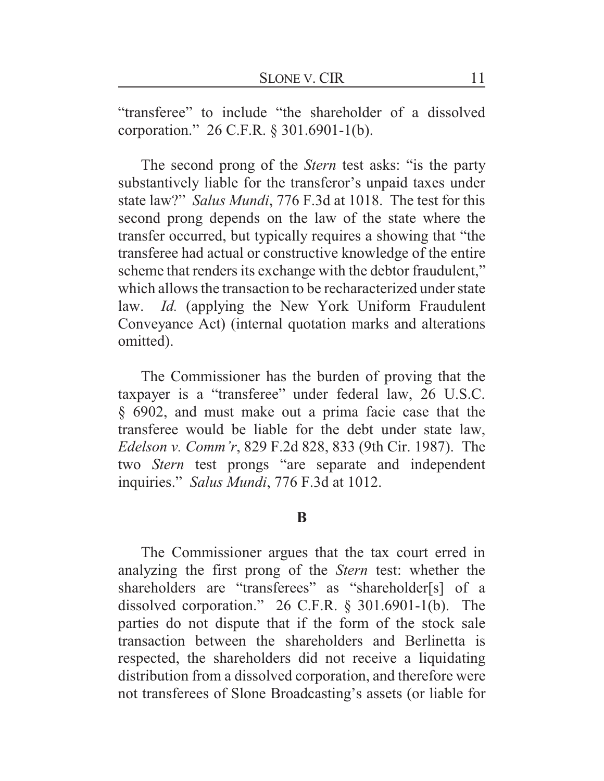"transferee" to include "the shareholder of a dissolved corporation." 26 C.F.R. § 301.6901-1(b).

The second prong of the *Stern* test asks: "is the party substantively liable for the transferor's unpaid taxes under state law?" *Salus Mundi*, 776 F.3d at 1018. The test for this second prong depends on the law of the state where the transfer occurred, but typically requires a showing that "the transferee had actual or constructive knowledge of the entire scheme that renders its exchange with the debtor fraudulent," which allows the transaction to be recharacterized under state law. *Id.* (applying the New York Uniform Fraudulent Conveyance Act) (internal quotation marks and alterations omitted).

The Commissioner has the burden of proving that the taxpayer is a "transferee" under federal law, 26 U.S.C. § 6902, and must make out a prima facie case that the transferee would be liable for the debt under state law, *Edelson v. Comm'r*, 829 F.2d 828, 833 (9th Cir. 1987). The two *Stern* test prongs "are separate and independent inquiries." *Salus Mundi*, 776 F.3d at 1012.

#### **B**

The Commissioner argues that the tax court erred in analyzing the first prong of the *Stern* test: whether the shareholders are "transferees" as "shareholder[s] of a dissolved corporation." 26 C.F.R. § 301.6901-1(b). The parties do not dispute that if the form of the stock sale transaction between the shareholders and Berlinetta is respected, the shareholders did not receive a liquidating distribution from a dissolved corporation, and therefore were not transferees of Slone Broadcasting's assets (or liable for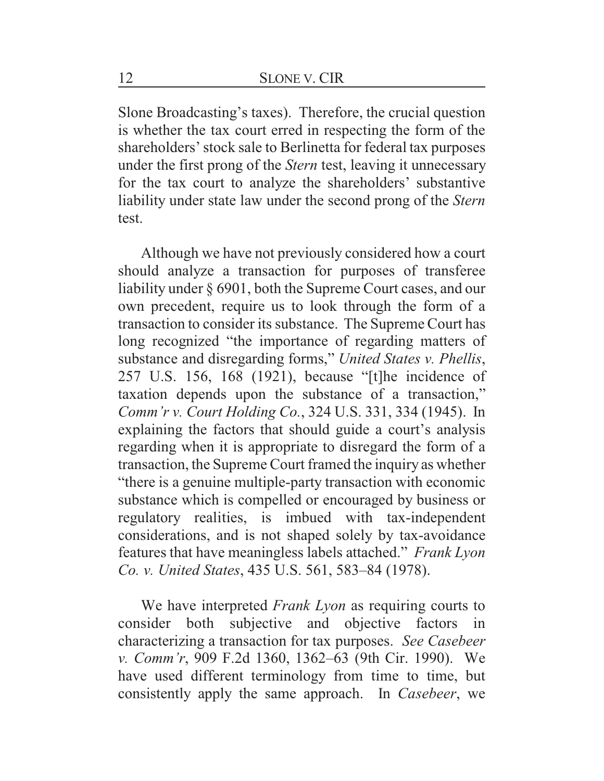Slone Broadcasting's taxes). Therefore, the crucial question is whether the tax court erred in respecting the form of the shareholders' stock sale to Berlinetta for federal tax purposes under the first prong of the *Stern* test, leaving it unnecessary for the tax court to analyze the shareholders' substantive liability under state law under the second prong of the *Stern* test.

Although we have not previously considered how a court should analyze a transaction for purposes of transferee liability under § 6901, both the Supreme Court cases, and our own precedent, require us to look through the form of a transaction to consider its substance. The Supreme Court has long recognized "the importance of regarding matters of substance and disregarding forms," *United States v. Phellis*, 257 U.S. 156, 168 (1921), because "[t]he incidence of taxation depends upon the substance of a transaction," *Comm'r v. Court Holding Co.*, 324 U.S. 331, 334 (1945). In explaining the factors that should guide a court's analysis regarding when it is appropriate to disregard the form of a transaction, the Supreme Court framed the inquiry as whether "there is a genuine multiple-party transaction with economic substance which is compelled or encouraged by business or regulatory realities, is imbued with tax-independent considerations, and is not shaped solely by tax-avoidance features that have meaningless labels attached." *Frank Lyon Co. v. United States*, 435 U.S. 561, 583–84 (1978).

We have interpreted *Frank Lyon* as requiring courts to consider both subjective and objective factors in characterizing a transaction for tax purposes. *See Casebeer v. Comm'r*, 909 F.2d 1360, 1362–63 (9th Cir. 1990). We have used different terminology from time to time, but consistently apply the same approach. In *Casebeer*, we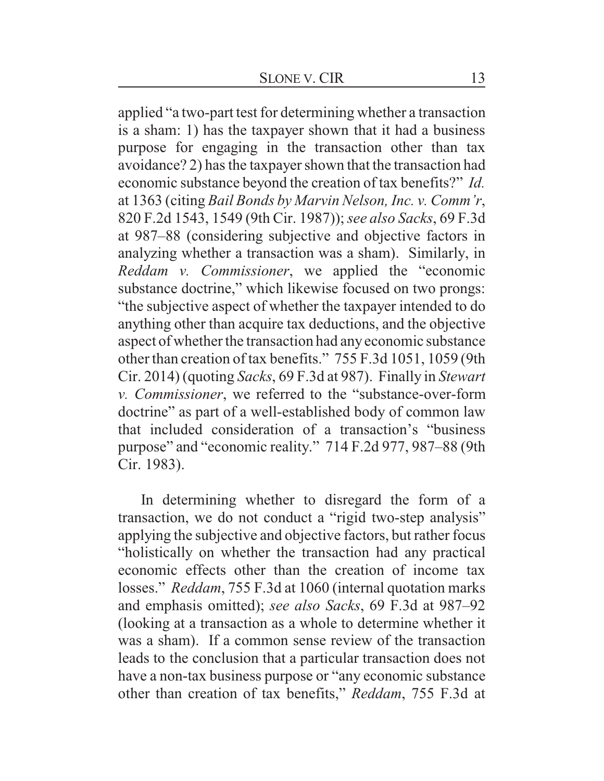applied "a two-part test for determining whether a transaction is a sham: 1) has the taxpayer shown that it had a business purpose for engaging in the transaction other than tax avoidance? 2) has the taxpayer shown that the transaction had economic substance beyond the creation of tax benefits?" *Id.* at 1363 (citing *Bail Bonds by Marvin Nelson, Inc. v. Comm'r*, 820 F.2d 1543, 1549 (9th Cir. 1987)); *see also Sacks*, 69 F.3d at 987–88 (considering subjective and objective factors in analyzing whether a transaction was a sham). Similarly, in *Reddam v. Commissioner*, we applied the "economic substance doctrine," which likewise focused on two prongs: "the subjective aspect of whether the taxpayer intended to do anything other than acquire tax deductions, and the objective aspect of whether the transaction had any economic substance other than creation of tax benefits." 755 F.3d 1051, 1059 (9th Cir. 2014) (quoting *Sacks*, 69 F.3d at 987). Finally in *Stewart v. Commissioner*, we referred to the "substance-over-form doctrine" as part of a well-established body of common law that included consideration of a transaction's "business purpose" and "economic reality." 714 F.2d 977, 987–88 (9th Cir. 1983).

In determining whether to disregard the form of a transaction, we do not conduct a "rigid two-step analysis" applying the subjective and objective factors, but rather focus "holistically on whether the transaction had any practical economic effects other than the creation of income tax losses." *Reddam*, 755 F.3d at 1060 (internal quotation marks and emphasis omitted); *see also Sacks*, 69 F.3d at 987–92 (looking at a transaction as a whole to determine whether it was a sham). If a common sense review of the transaction leads to the conclusion that a particular transaction does not have a non-tax business purpose or "any economic substance other than creation of tax benefits," *Reddam*, 755 F.3d at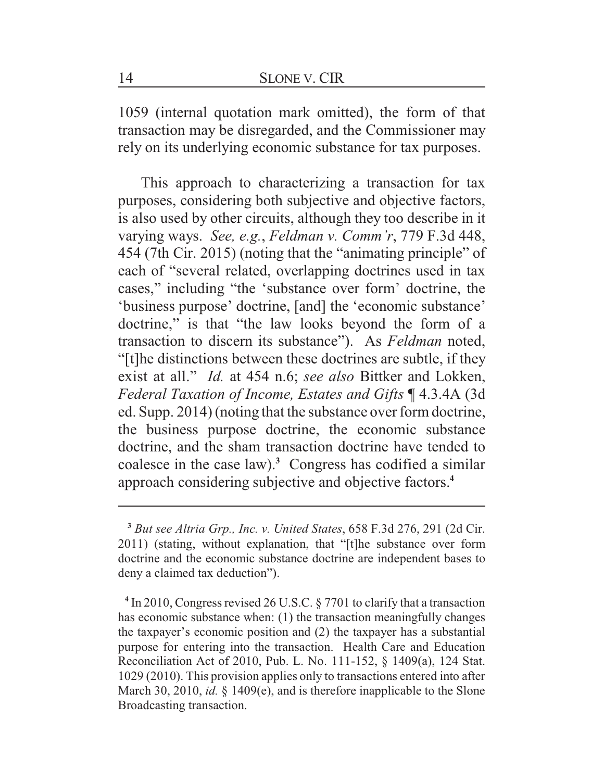1059 (internal quotation mark omitted), the form of that transaction may be disregarded, and the Commissioner may rely on its underlying economic substance for tax purposes.

This approach to characterizing a transaction for tax purposes, considering both subjective and objective factors, is also used by other circuits, although they too describe in it varying ways. *See, e.g.*, *Feldman v. Comm'r*, 779 F.3d 448, 454 (7th Cir. 2015) (noting that the "animating principle" of each of "several related, overlapping doctrines used in tax cases," including "the 'substance over form' doctrine, the 'business purpose' doctrine, [and] the 'economic substance' doctrine," is that "the law looks beyond the form of a transaction to discern its substance"). As *Feldman* noted, "[t]he distinctions between these doctrines are subtle, if they exist at all." *Id.* at 454 n.6; *see also* Bittker and Lokken, *Federal Taxation of Income, Estates and Gifts* ¶ 4.3.4A (3d ed. Supp. 2014) (noting that the substance over form doctrine, the business purpose doctrine, the economic substance doctrine, and the sham transaction doctrine have tended to coalesce in the case law).**<sup>3</sup>** Congress has codified a similar approach considering subjective and objective factors.**<sup>4</sup>**

**4** In 2010, Congress revised 26 U.S.C. § 7701 to clarify that a transaction has economic substance when: (1) the transaction meaningfully changes the taxpayer's economic position and (2) the taxpayer has a substantial purpose for entering into the transaction. Health Care and Education Reconciliation Act of 2010, Pub. L. No. 111-152, § 1409(a), 124 Stat. 1029 (2010). This provision applies only to transactions entered into after March 30, 2010, *id.* § 1409(e), and is therefore inapplicable to the Slone Broadcasting transaction.

**<sup>3</sup>** *But see Altria Grp., Inc. v. United States*, 658 F.3d 276, 291 (2d Cir. 2011) (stating, without explanation, that "[t]he substance over form doctrine and the economic substance doctrine are independent bases to deny a claimed tax deduction").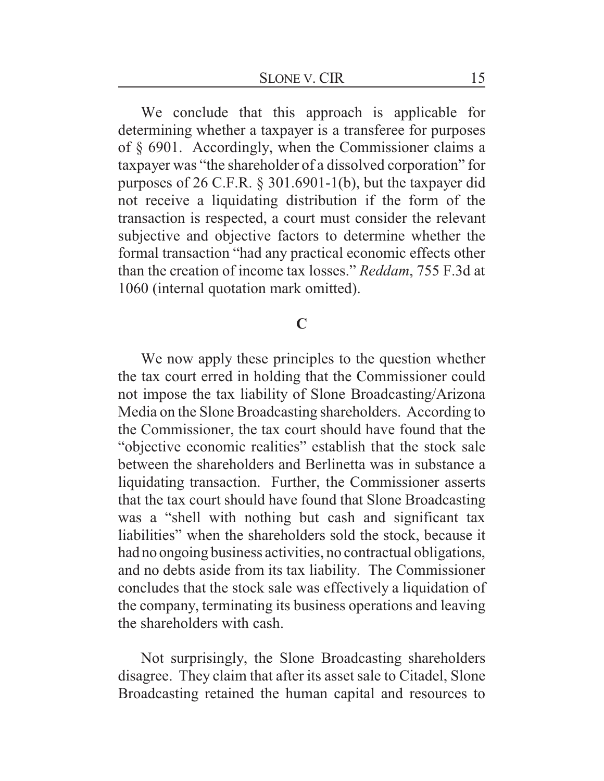We conclude that this approach is applicable for determining whether a taxpayer is a transferee for purposes of § 6901. Accordingly, when the Commissioner claims a taxpayer was "the shareholder of a dissolved corporation" for purposes of 26 C.F.R. § 301.6901-1(b), but the taxpayer did not receive a liquidating distribution if the form of the transaction is respected, a court must consider the relevant subjective and objective factors to determine whether the formal transaction "had any practical economic effects other than the creation of income tax losses." *Reddam*, 755 F.3d at 1060 (internal quotation mark omitted).

## **C**

We now apply these principles to the question whether the tax court erred in holding that the Commissioner could not impose the tax liability of Slone Broadcasting/Arizona Media on the Slone Broadcasting shareholders. According to the Commissioner, the tax court should have found that the "objective economic realities" establish that the stock sale between the shareholders and Berlinetta was in substance a liquidating transaction. Further, the Commissioner asserts that the tax court should have found that Slone Broadcasting was a "shell with nothing but cash and significant tax liabilities" when the shareholders sold the stock, because it had no ongoing business activities, no contractual obligations, and no debts aside from its tax liability. The Commissioner concludes that the stock sale was effectively a liquidation of the company, terminating its business operations and leaving the shareholders with cash.

Not surprisingly, the Slone Broadcasting shareholders disagree. They claim that after its asset sale to Citadel, Slone Broadcasting retained the human capital and resources to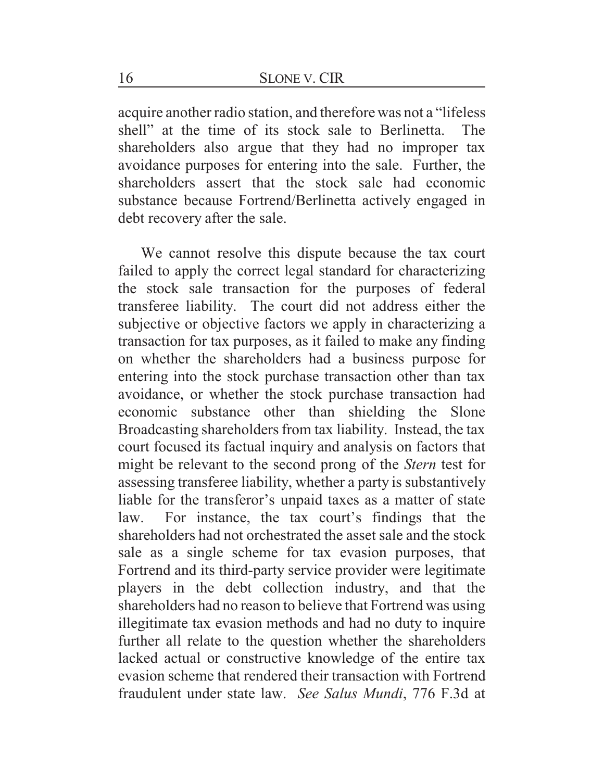acquire another radio station, and therefore was not a "lifeless shell" at the time of its stock sale to Berlinetta. The shareholders also argue that they had no improper tax avoidance purposes for entering into the sale. Further, the shareholders assert that the stock sale had economic substance because Fortrend/Berlinetta actively engaged in debt recovery after the sale.

We cannot resolve this dispute because the tax court failed to apply the correct legal standard for characterizing the stock sale transaction for the purposes of federal transferee liability. The court did not address either the subjective or objective factors we apply in characterizing a transaction for tax purposes, as it failed to make any finding on whether the shareholders had a business purpose for entering into the stock purchase transaction other than tax avoidance, or whether the stock purchase transaction had economic substance other than shielding the Slone Broadcasting shareholders from tax liability. Instead, the tax court focused its factual inquiry and analysis on factors that might be relevant to the second prong of the *Stern* test for assessing transferee liability, whether a party is substantively liable for the transferor's unpaid taxes as a matter of state law. For instance, the tax court's findings that the shareholders had not orchestrated the asset sale and the stock sale as a single scheme for tax evasion purposes, that Fortrend and its third-party service provider were legitimate players in the debt collection industry, and that the shareholders had no reason to believe that Fortrend was using illegitimate tax evasion methods and had no duty to inquire further all relate to the question whether the shareholders lacked actual or constructive knowledge of the entire tax evasion scheme that rendered their transaction with Fortrend fraudulent under state law. *See Salus Mundi*, 776 F.3d at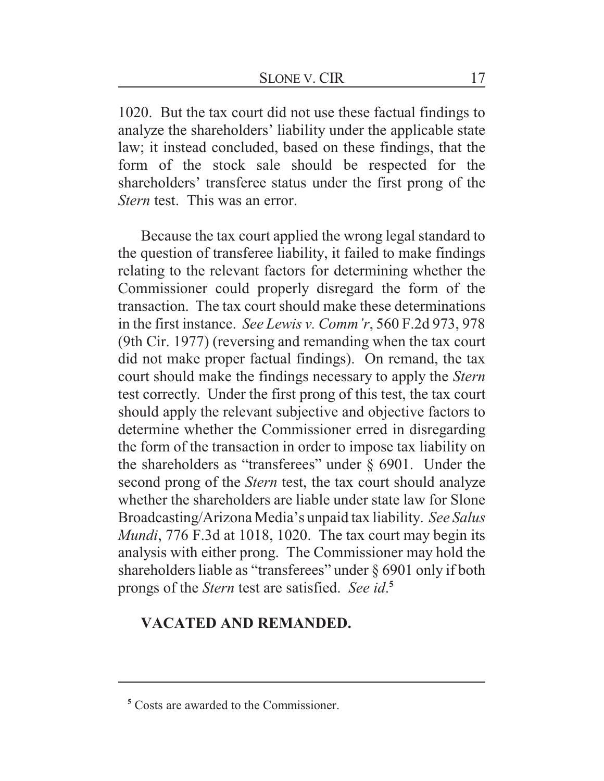1020. But the tax court did not use these factual findings to analyze the shareholders' liability under the applicable state law; it instead concluded, based on these findings, that the form of the stock sale should be respected for the shareholders' transferee status under the first prong of the *Stern* test. This was an error.

Because the tax court applied the wrong legal standard to the question of transferee liability, it failed to make findings relating to the relevant factors for determining whether the Commissioner could properly disregard the form of the transaction. The tax court should make these determinations in the first instance. *See Lewis v. Comm'r*, 560 F.2d 973, 978 (9th Cir. 1977) (reversing and remanding when the tax court did not make proper factual findings). On remand, the tax court should make the findings necessary to apply the *Stern* test correctly. Under the first prong of this test, the tax court should apply the relevant subjective and objective factors to determine whether the Commissioner erred in disregarding the form of the transaction in order to impose tax liability on the shareholders as "transferees" under § 6901. Under the second prong of the *Stern* test, the tax court should analyze whether the shareholders are liable under state law for Slone Broadcasting/Arizona Media's unpaid tax liability. *See Salus Mundi*, 776 F.3d at 1018, 1020. The tax court may begin its analysis with either prong. The Commissioner may hold the shareholders liable as "transferees" under § 6901 only if both prongs of the *Stern* test are satisfied. *See id*. **5**

## **VACATED AND REMANDED.**

**<sup>5</sup>** Costs are awarded to the Commissioner.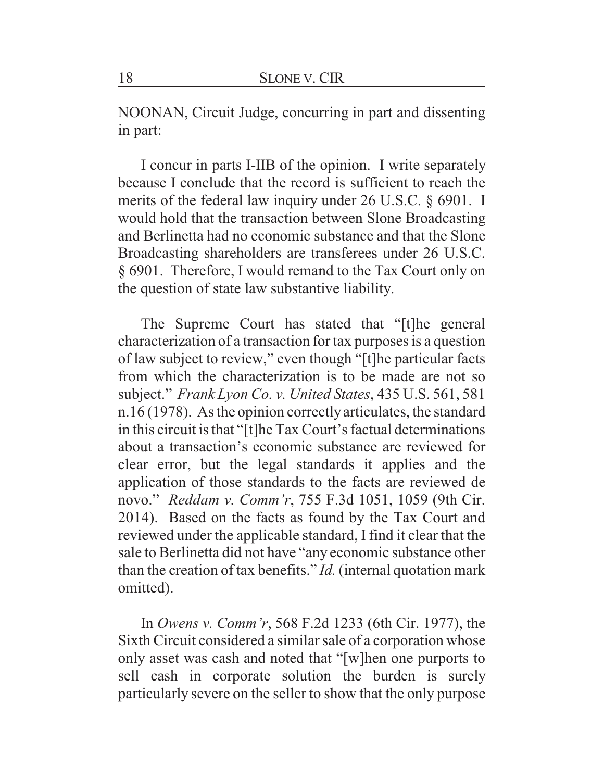NOONAN, Circuit Judge, concurring in part and dissenting in part:

I concur in parts I-IIB of the opinion. I write separately because I conclude that the record is sufficient to reach the merits of the federal law inquiry under 26 U.S.C. § 6901. I would hold that the transaction between Slone Broadcasting and Berlinetta had no economic substance and that the Slone Broadcasting shareholders are transferees under 26 U.S.C. § 6901. Therefore, I would remand to the Tax Court only on the question of state law substantive liability.

The Supreme Court has stated that "[t]he general characterization of a transaction for tax purposes is a question of law subject to review," even though "[t]he particular facts from which the characterization is to be made are not so subject." *Frank Lyon Co. v. United States*, 435 U.S. 561, 581 n.16 (1978). As the opinion correctly articulates, the standard in this circuit is that "[t]he Tax Court's factual determinations about a transaction's economic substance are reviewed for clear error, but the legal standards it applies and the application of those standards to the facts are reviewed de novo." *Reddam v. Comm'r*, 755 F.3d 1051, 1059 (9th Cir. 2014). Based on the facts as found by the Tax Court and reviewed under the applicable standard, I find it clear that the sale to Berlinetta did not have "any economic substance other than the creation of tax benefits." *Id.* (internal quotation mark omitted).

In *Owens v. Comm'r*, 568 F.2d 1233 (6th Cir. 1977), the Sixth Circuit considered a similar sale of a corporation whose only asset was cash and noted that "[w]hen one purports to sell cash in corporate solution the burden is surely particularly severe on the seller to show that the only purpose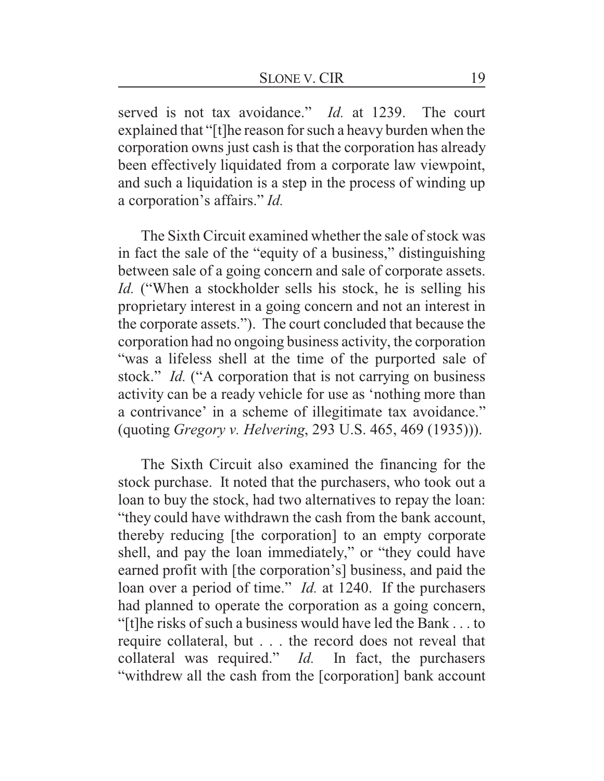served is not tax avoidance." *Id.* at 1239. The court explained that "[t]he reason for such a heavy burden when the corporation owns just cash is that the corporation has already been effectively liquidated from a corporate law viewpoint, and such a liquidation is a step in the process of winding up a corporation's affairs." *Id.*

The Sixth Circuit examined whether the sale of stock was in fact the sale of the "equity of a business," distinguishing between sale of a going concern and sale of corporate assets. *Id.* ("When a stockholder sells his stock, he is selling his proprietary interest in a going concern and not an interest in the corporate assets."). The court concluded that because the corporation had no ongoing business activity, the corporation "was a lifeless shell at the time of the purported sale of stock." *Id.* ("A corporation that is not carrying on business activity can be a ready vehicle for use as 'nothing more than a contrivance' in a scheme of illegitimate tax avoidance." (quoting *Gregory v. Helvering*, 293 U.S. 465, 469 (1935))).

The Sixth Circuit also examined the financing for the stock purchase. It noted that the purchasers, who took out a loan to buy the stock, had two alternatives to repay the loan: "they could have withdrawn the cash from the bank account, thereby reducing [the corporation] to an empty corporate shell, and pay the loan immediately," or "they could have earned profit with [the corporation's] business, and paid the loan over a period of time." *Id.* at 1240. If the purchasers had planned to operate the corporation as a going concern, "[t]he risks of such a business would have led the Bank . . . to require collateral, but . . . the record does not reveal that collateral was required." *Id.* In fact, the purchasers "withdrew all the cash from the [corporation] bank account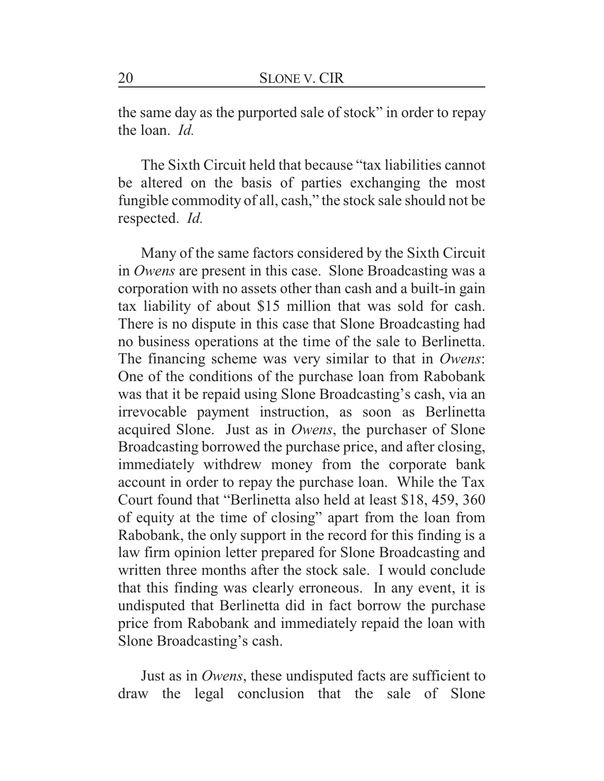the same day as the purported sale of stock" in order to repay the loan. *Id.*

The Sixth Circuit held that because "tax liabilities cannot be altered on the basis of parties exchanging the most fungible commodity of all, cash," the stock sale should not be respected. *Id.*

Many of the same factors considered by the Sixth Circuit in *Owens* are present in this case. Slone Broadcasting was a corporation with no assets other than cash and a built-in gain tax liability of about \$15 million that was sold for cash. There is no dispute in this case that Slone Broadcasting had no business operations at the time of the sale to Berlinetta. The financing scheme was very similar to that in *Owens*: One of the conditions of the purchase loan from Rabobank was that it be repaid using Slone Broadcasting's cash, via an irrevocable payment instruction, as soon as Berlinetta acquired Slone. Just as in *Owens*, the purchaser of Slone Broadcasting borrowed the purchase price, and after closing, immediately withdrew money from the corporate bank account in order to repay the purchase loan. While the Tax Court found that "Berlinetta also held at least \$18, 459, 360 of equity at the time of closing" apart from the loan from Rabobank, the only support in the record for this finding is a law firm opinion letter prepared for Slone Broadcasting and written three months after the stock sale. I would conclude that this finding was clearly erroneous. In any event, it is undisputed that Berlinetta did in fact borrow the purchase price from Rabobank and immediately repaid the loan with Slone Broadcasting's cash.

Just as in *Owens*, these undisputed facts are sufficient to draw the legal conclusion that the sale of Slone